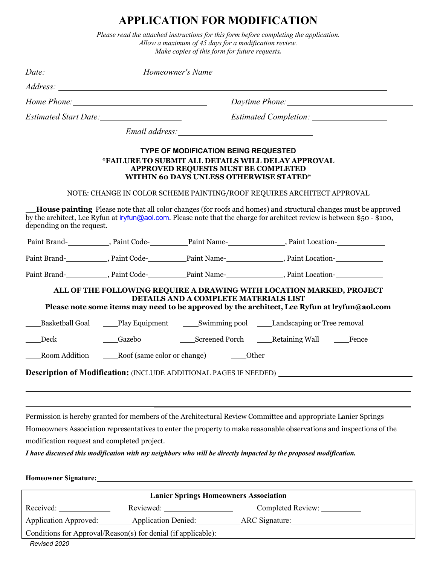## **APPLICATION FOR MODIFICATION**

*Please read the attached instructions for this form before completing the application. Allow a maximum of 45 days for a modification review. Make copies of this form for future requests.*

|                                             |                                                |                                                                                                                                                                                            | Date: Momeowner's Name                                                                                                                                                                                                                                                                                                                                   |  |
|---------------------------------------------|------------------------------------------------|--------------------------------------------------------------------------------------------------------------------------------------------------------------------------------------------|----------------------------------------------------------------------------------------------------------------------------------------------------------------------------------------------------------------------------------------------------------------------------------------------------------------------------------------------------------|--|
|                                             |                                                |                                                                                                                                                                                            |                                                                                                                                                                                                                                                                                                                                                          |  |
|                                             |                                                |                                                                                                                                                                                            | Daytime Phone: 1997                                                                                                                                                                                                                                                                                                                                      |  |
| Estimated Start Date: 1997                  |                                                |                                                                                                                                                                                            |                                                                                                                                                                                                                                                                                                                                                          |  |
|                                             |                                                |                                                                                                                                                                                            |                                                                                                                                                                                                                                                                                                                                                          |  |
|                                             |                                                | <b>TYPE OF MODIFICATION BEING REQUESTED</b><br>*FAILURE TO SUBMIT ALL DETAILS WILL DELAY APPROVAL<br><b>APPROVED REQUESTS MUST BE COMPLETED</b><br>WITHIN 60 DAYS UNLESS OTHERWISE STATED* |                                                                                                                                                                                                                                                                                                                                                          |  |
|                                             |                                                |                                                                                                                                                                                            | NOTE: CHANGE IN COLOR SCHEME PAINTING/ROOF REQUIRES ARCHITECT APPROVAL                                                                                                                                                                                                                                                                                   |  |
| depending on the request.                   |                                                |                                                                                                                                                                                            | <b>House painting</b> Please note that all color changes (for roofs and homes) and structural changes must be approved<br>by the architect, Lee Ryfun at <i>ryfun@aol.com</i> . Please note that the charge for architect review is between \$50 - \$100,                                                                                                |  |
|                                             |                                                |                                                                                                                                                                                            | Paint Brand- Name Paint Name Paint Name Paint Name Paint Location- Name Paint Location                                                                                                                                                                                                                                                                   |  |
|                                             |                                                |                                                                                                                                                                                            | Paint Brand- Name Paint Code- Name Paint Name Raint Location- Name Paint Location Paint Location Paint Brand- Name Paint Brand- Name Paint Brand- Name Paint Brand- Name Paint Brand- Name Paint Brand- Name Paint Brand- Name                                                                                                                           |  |
|                                             |                                                |                                                                                                                                                                                            | Paint Brand- Name Paint Code- Name Paint Name Raint Location- Name Paint Location Paint Location Paint Brand- Name Paint Brand- Name Paint Brand- Name Paint Brand- Name Paint Brand- Name Paint Brand- Name Paint Brand- Name                                                                                                                           |  |
|                                             |                                                | DETAILS AND A COMPLETE MATERIALS LIST                                                                                                                                                      | ALL OF THE FOLLOWING REQUIRE A DRAWING WITH LOCATION MARKED, PROJECT<br>Please note some items may need to be approved by the architect, Lee Ryfun at lryfun@aol.com                                                                                                                                                                                     |  |
|                                             |                                                |                                                                                                                                                                                            | Basketball Goal _____Play Equipment _____________Swimming pool ______Landscaping or Tree removal                                                                                                                                                                                                                                                         |  |
| Deck                                        |                                                |                                                                                                                                                                                            |                                                                                                                                                                                                                                                                                                                                                          |  |
|                                             | Room Addition Roof (same color or change) Cher |                                                                                                                                                                                            |                                                                                                                                                                                                                                                                                                                                                          |  |
|                                             |                                                |                                                                                                                                                                                            | <b>Description of Modification:</b> (INCLUDE ADDITIONAL PAGES IF NEEDED)                                                                                                                                                                                                                                                                                 |  |
| modification request and completed project. |                                                |                                                                                                                                                                                            | Permission is hereby granted for members of the Architectural Review Committee and appropriate Lanier Springs<br>Homeowners Association representatives to enter the property to make reasonable observations and inspections of the<br>I have discussed this modification with my neighbors who will be directly impacted by the proposed modification. |  |
| Homeowner Signature:                        |                                                |                                                                                                                                                                                            |                                                                                                                                                                                                                                                                                                                                                          |  |
|                                             |                                                | <b>Lanier Springs Homeowners Association</b>                                                                                                                                               |                                                                                                                                                                                                                                                                                                                                                          |  |
| Received:                                   | Reviewed:                                      |                                                                                                                                                                                            | Completed Review:                                                                                                                                                                                                                                                                                                                                        |  |

Application Approved: \_\_\_\_\_\_\_\_ Application Denied: \_\_\_\_\_\_\_\_\_\_\_ ARC Signature:

Conditions for Approval/Reason(s) for denial (if applicable):